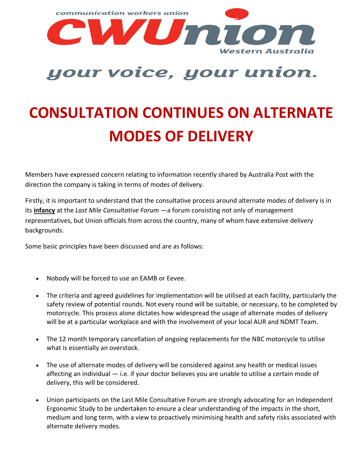

## your voice, your union.

## **CONSULTATION CONTINUES ON ALTERNATE MODES OF DELIVERY**

Members have expressed concern relating to information recently shared by Australia Post with the direction the company is taking in terms of modes of delivery.

Firstly, it is important to understand that the consultative process around alternate modes of delivery is in its **infancy** at the *Last Mile Consultative Forum* —a forum consisting not only of management representatives, but Union officials from across the country, many of whom have extensive delivery backgrounds.

Some basic principles have been discussed and are as follows:

- Nobody will be forced to use an EAMB or Eevee.
- The criteria and agreed guidelines for implementation will be utilised at each facility, particularly the safety review of potential rounds. Not every round will be suitable, or necessary, to be completed by motorcycle. This process alone dictates how widespread the usage of alternate modes of delivery will be at a particular workplace and with the involvement of your local AUR and NDMT Team.
- The 12 month temporary cancellation of ongoing replacements for the NBC motorcycle to utilise what is essentially an overstock.
- The use of alternate modes of delivery will be considered against any health or medical issues affecting an individual — i.e. if your doctor believes you are unable to utilise a certain mode of delivery, this will be considered.
- Union participants on the Last Mile Consultative Forum are strongly advocating for an Independent Ergonomic Study to be undertaken to ensure a clear understanding of the impacts in the short, medium and long term, with a view to proactively minimising health and safety risks associated with alternate delivery modes.